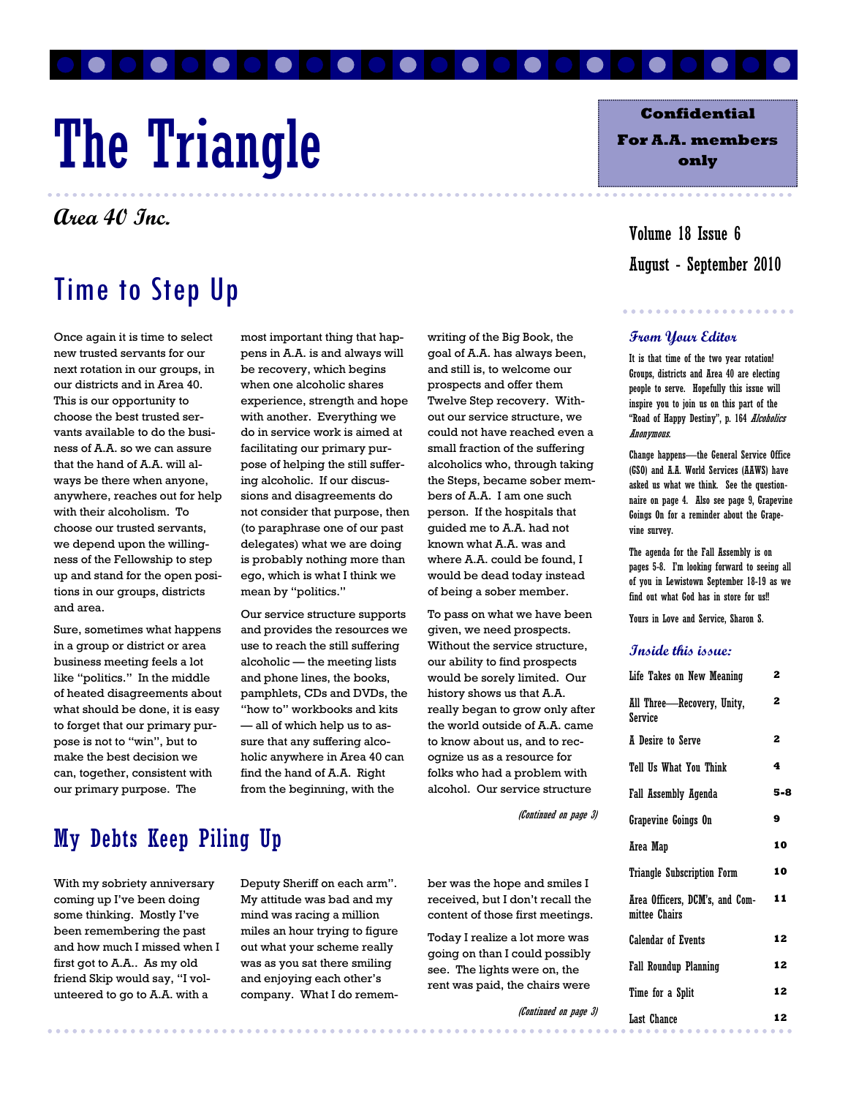# The Triangle

**Area 40 Inc.** 

### Time to Step Up

Once again it is time to select new trusted servants for our next rotation in our groups, in our districts and in Area 40. This is our opportunity to choose the best trusted servants available to do the business of A.A. so we can assure that the hand of A.A. will always be there when anyone, anywhere, reaches out for help with their alcoholism. To choose our trusted servants, we depend upon the willingness of the Fellowship to step up and stand for the open positions in our groups, districts and area.

Sure, sometimes what happens in a group or district or area business meeting feels a lot like "politics." In the middle of heated disagreements about what should be done, it is easy to forget that our primary purpose is not to "win", but to make the best decision we can, together, consistent with our primary purpose. The

most important thing that happens in A.A. is and always will be recovery, which begins when one alcoholic shares experience, strength and hope with another. Everything we do in service work is aimed at facilitating our primary purpose of helping the still suffering alcoholic. If our discussions and disagreements do not consider that purpose, then (to paraphrase one of our past delegates) what we are doing is probably nothing more than ego, which is what I think we mean by "politics."

Our service structure supports and provides the resources we use to reach the still suffering alcoholic — the meeting lists and phone lines, the books, pamphlets, CDs and DVDs, the "how to" workbooks and kits — all of which help us to assure that any suffering alcoholic anywhere in Area 40 can find the hand of A.A. Right from the beginning, with the

writing of the Big Book, the goal of A.A. has always been, and still is, to welcome our prospects and offer them Twelve Step recovery. Without our service structure, we could not have reached even a small fraction of the suffering alcoholics who, through taking the Steps, became sober members of A.A. I am one such person. If the hospitals that guided me to A.A. had not known what A.A. was and where A.A. could be found, I would be dead today instead of being a sober member.

To pass on what we have been given, we need prospects. Without the service structure, our ability to find prospects would be sorely limited. Our history shows us that A.A. really began to grow only after the world outside of A.A. came to know about us, and to recognize us as a resource for folks who had a problem with alcohol. Our service structure

(Continued on page 3)

### My Debts Keep Piling Up

With my sobriety anniversary coming up I've been doing some thinking. Mostly I've been remembering the past and how much I missed when I first got to A.A.. As my old friend Skip would say, "I volunteered to go to A.A. with a

Deputy Sheriff on each arm". My attitude was bad and my mind was racing a million miles an hour trying to figure out what your scheme really was as you sat there smiling and enjoying each other's company. What I do remember was the hope and smiles I received, but I don't recall the content of those first meetings.

Today I realize a lot more was going on than I could possibly see. The lights were on, the rent was paid, the chairs were

(Continued on page 3)

**Confidential For A.A. members** 

**only** 

August - September 2010 Volume 18 Issue 6

#### **From Your Editor**

It is that time of the two year rotation! Groups, districts and Area 40 are electing people to serve. Hopefully this issue will inspire you to join us on this part of the "Road of Happy Destiny", p. 164 Alcoholics Anonymous.

Change happens—the General Service Office (GSO) and A.A. World Services (AAWS) have asked us what we think. See the questionnaire on page 4. Also see page 9, Grapevine Goings On for a reminder about the Grapevine survey.

The agenda for the Fall Assembly is on pages 5-8. I'm looking forward to seeing all of you in Lewistown September 18-19 as we find out what God has in store for us!!

Yours in Love and Service, Sharon S.

#### **Inside this issue:**

| Life Takes on New Meaning                       | 2   |
|-------------------------------------------------|-----|
| All Three—Recovery, Unity,<br>Service           | 2   |
| <b>A</b> Desire to Serve                        | 2   |
| Tell Us What You Think                          | 4   |
| Fall Assembly Agenda                            | 5-8 |
| Grapevine Goings On                             | 9   |
| Area Map                                        | 10  |
| Triangle Subscription Form                      | 10  |
| Area Officers, DCM's, and Com-<br>mittee Chairs | 11  |
| Calendar of Events                              | 12  |
| Fall Roundup Planning                           | 12  |
| Time for a Split                                | 12  |
| Last Chance<br>.                                | 12  |
|                                                 |     |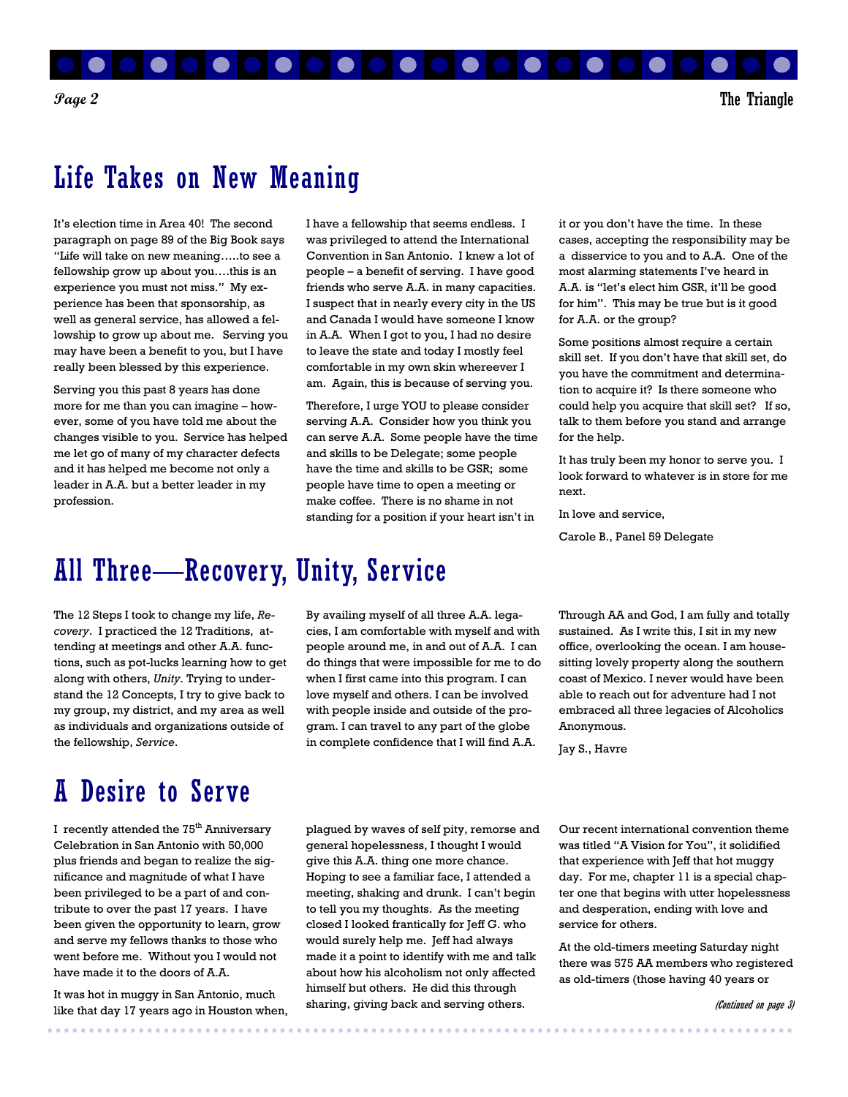

### Life Takes on New Meaning

It's election time in Area 40! The second paragraph on page 89 of the Big Book says "Life will take on new meaning…..to see a fellowship grow up about you….this is an experience you must not miss." My experience has been that sponsorship, as well as general service, has allowed a fellowship to grow up about me. Serving you may have been a benefit to you, but I have really been blessed by this experience.

Serving you this past 8 years has done more for me than you can imagine – however, some of you have told me about the changes visible to you. Service has helped me let go of many of my character defects and it has helped me become not only a leader in A.A. but a better leader in my profession.

I have a fellowship that seems endless. I was privileged to attend the International Convention in San Antonio. I knew a lot of people – a benefit of serving. I have good friends who serve A.A. in many capacities. I suspect that in nearly every city in the US and Canada I would have someone I know in A.A. When I got to you, I had no desire to leave the state and today I mostly feel comfortable in my own skin whereever I am. Again, this is because of serving you.

Therefore, I urge YOU to please consider serving A.A. Consider how you think you can serve A.A. Some people have the time and skills to be Delegate; some people have the time and skills to be GSR; some people have time to open a meeting or make coffee. There is no shame in not standing for a position if your heart isn't in

### All Three—Recovery, Unity, Service

The 12 Steps I took to change my life, *Recovery*. I practiced the 12 Traditions, attending at meetings and other A.A. functions, such as pot-lucks learning how to get along with others, *Unity*. Trying to understand the 12 Concepts, I try to give back to my group, my district, and my area as well as individuals and organizations outside of the fellowship, *Service*.

### A Desire to Serve

I recently attended the 75<sup>th</sup> Anniversary Celebration in San Antonio with 50,000 plus friends and began to realize the significance and magnitude of what I have been privileged to be a part of and contribute to over the past 17 years. I have been given the opportunity to learn, grow and serve my fellows thanks to those who went before me. Without you I would not have made it to the doors of A.A.

It was hot in muggy in San Antonio, much like that day 17 years ago in Houston when, By availing myself of all three A.A. legacies, I am comfortable with myself and with people around me, in and out of A.A. I can do things that were impossible for me to do when I first came into this program. I can love myself and others. I can be involved with people inside and outside of the program. I can travel to any part of the globe in complete confidence that I will find A.A.

it or you don't have the time. In these cases, accepting the responsibility may be a disservice to you and to A.A. One of the most alarming statements I've heard in A.A. is "let's elect him GSR, it'll be good for him". This may be true but is it good for A.A. or the group?

Some positions almost require a certain skill set. If you don't have that skill set, do you have the commitment and determination to acquire it? Is there someone who could help you acquire that skill set? If so, talk to them before you stand and arrange for the help.

It has truly been my honor to serve you. I look forward to whatever is in store for me next.

In love and service,

Carole B., Panel 59 Delegate

Through AA and God, I am fully and totally sustained. As I write this, I sit in my new office, overlooking the ocean. I am housesitting lovely property along the southern coast of Mexico. I never would have been able to reach out for adventure had I not embraced all three legacies of Alcoholics Anonymous.

Jay S., Havre

plagued by waves of self pity, remorse and general hopelessness, I thought I would give this A.A. thing one more chance. Hoping to see a familiar face, I attended a meeting, shaking and drunk. I can't begin to tell you my thoughts. As the meeting closed I looked frantically for Jeff G. who would surely help me. Jeff had always made it a point to identify with me and talk about how his alcoholism not only affected himself but others. He did this through sharing, giving back and serving others.

Our recent international convention theme was titled "A Vision for You", it solidified that experience with Jeff that hot muggy day. For me, chapter 11 is a special chapter one that begins with utter hopelessness and desperation, ending with love and service for others.

At the old-timers meeting Saturday night there was 575 AA members who registered as old-timers (those having 40 years or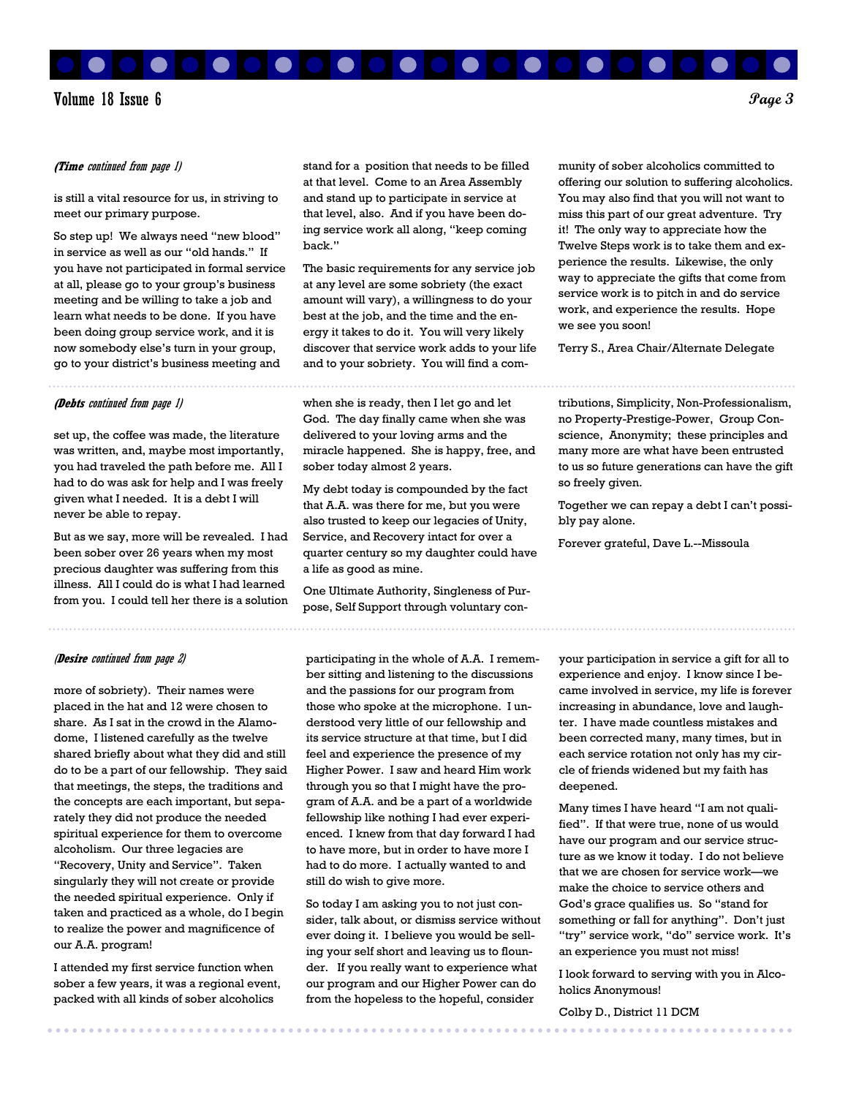Volume 18 Issue 6 **Page 3** 

#### **(Time** continued from page 1)

is still a vital resource for us, in striving to meet our primary purpose.

So step up! We always need "new blood" in service as well as our "old hands." If you have not participated in formal service at all, please go to your group's business meeting and be willing to take a job and learn what needs to be done. If you have been doing group service work, and it is now somebody else's turn in your group, go to your district's business meeting and

#### **(Debts** continued from page 1)

set up, the coffee was made, the literature was written, and, maybe most importantly, you had traveled the path before me. All I had to do was ask for help and I was freely given what I needed. It is a debt I will never be able to repay.

But as we say, more will be revealed. I had been sober over 26 years when my most precious daughter was suffering from this illness. All I could do is what I had learned from you. I could tell her there is a solution

#### (**Desire** continued from page 2)

more of sobriety). Their names were placed in the hat and 12 were chosen to share. As I sat in the crowd in the Alamodome, I listened carefully as the twelve shared briefly about what they did and still do to be a part of our fellowship. They said that meetings, the steps, the traditions and the concepts are each important, but separately they did not produce the needed spiritual experience for them to overcome alcoholism. Our three legacies are "Recovery, Unity and Service". Taken singularly they will not create or provide the needed spiritual experience. Only if taken and practiced as a whole, do I begin to realize the power and magnificence of our A.A. program!

I attended my first service function when sober a few years, it was a regional event, packed with all kinds of sober alcoholics

stand for a position that needs to be filled at that level. Come to an Area Assembly and stand up to participate in service at that level, also. And if you have been doing service work all along, "keep coming back."

The basic requirements for any service job at any level are some sobriety (the exact amount will vary), a willingness to do your best at the job, and the time and the energy it takes to do it. You will very likely discover that service work adds to your life and to your sobriety. You will find a com-

when she is ready, then I let go and let God. The day finally came when she was delivered to your loving arms and the miracle happened. She is happy, free, and sober today almost 2 years.

My debt today is compounded by the fact that A.A. was there for me, but you were also trusted to keep our legacies of Unity, Service, and Recovery intact for over a quarter century so my daughter could have a life as good as mine.

One Ultimate Authority, Singleness of Purpose, Self Support through voluntary con-

participating in the whole of A.A. I remember sitting and listening to the discussions and the passions for our program from those who spoke at the microphone. I understood very little of our fellowship and its service structure at that time, but I did feel and experience the presence of my Higher Power. I saw and heard Him work through you so that I might have the program of A.A. and be a part of a worldwide fellowship like nothing I had ever experienced. I knew from that day forward I had to have more, but in order to have more I had to do more. I actually wanted to and still do wish to give more.

So today I am asking you to not just consider, talk about, or dismiss service without ever doing it. I believe you would be selling your self short and leaving us to flounder. If you really want to experience what our program and our Higher Power can do from the hopeless to the hopeful, consider

munity of sober alcoholics committed to offering our solution to suffering alcoholics. You may also find that you will not want to miss this part of our great adventure. Try it! The only way to appreciate how the Twelve Steps work is to take them and experience the results. Likewise, the only way to appreciate the gifts that come from service work is to pitch in and do service work, and experience the results. Hope we see you soon!

Terry S., Area Chair/Alternate Delegate

tributions, Simplicity, Non-Professionalism, no Property-Prestige-Power, Group Conscience, Anonymity; these principles and many more are what have been entrusted to us so future generations can have the gift so freely given.

Together we can repay a debt I can't possibly pay alone.

Forever grateful, Dave L.--Missoula

your participation in service a gift for all to experience and enjoy. I know since I became involved in service, my life is forever increasing in abundance, love and laughter. I have made countless mistakes and been corrected many, many times, but in each service rotation not only has my circle of friends widened but my faith has deepened.

Many times I have heard "I am not qualified". If that were true, none of us would have our program and our service structure as we know it today. I do not believe that we are chosen for service work—we make the choice to service others and God's grace qualifies us. So "stand for something or fall for anything". Don't just "try" service work, "do" service work. It's an experience you must not miss!

I look forward to serving with you in Alcoholics Anonymous!

Colby D., District 11 DCM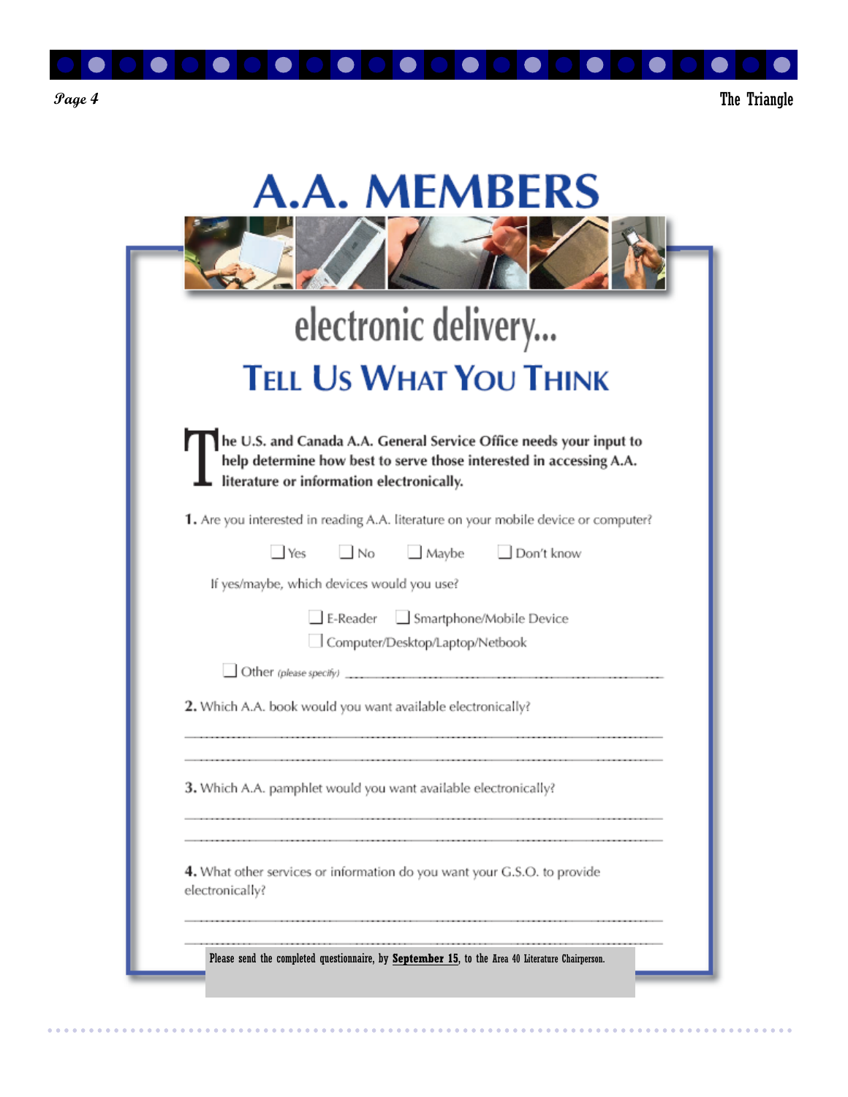

 $\begin{array}{cccccccccc} \bullet & \bullet & \bullet & \bullet & \bullet & \bullet & \bullet & \bullet & \bullet \end{array}$ 

 $\sim$   $\sim$  $\sim$  $\sim$  $\sim$  $\sim$  $\sim$ 

| electronic delivery                                                                                                                                                                    |
|----------------------------------------------------------------------------------------------------------------------------------------------------------------------------------------|
| <b>TELL US WHAT YOU THINK</b>                                                                                                                                                          |
| he U.S. and Canada A.A. General Service Office needs your input to<br>help determine how best to serve those interested in accessing A.A.<br>literature or information electronically. |
| 1. Are you interested in reading A.A. literature on your mobile device or computer?                                                                                                    |
| No Maybe Don't know<br>$\blacksquare$ Yes                                                                                                                                              |
| If yes/maybe, which devices would you use?                                                                                                                                             |
| E-Reader Smartphone/Mobile Device<br>Computer/Desktop/Laptop/Netbook                                                                                                                   |
|                                                                                                                                                                                        |
| 2. Which A.A. book would you want available electronically?                                                                                                                            |
| 3. Which A.A. pamphlet would you want available electronically?                                                                                                                        |
|                                                                                                                                                                                        |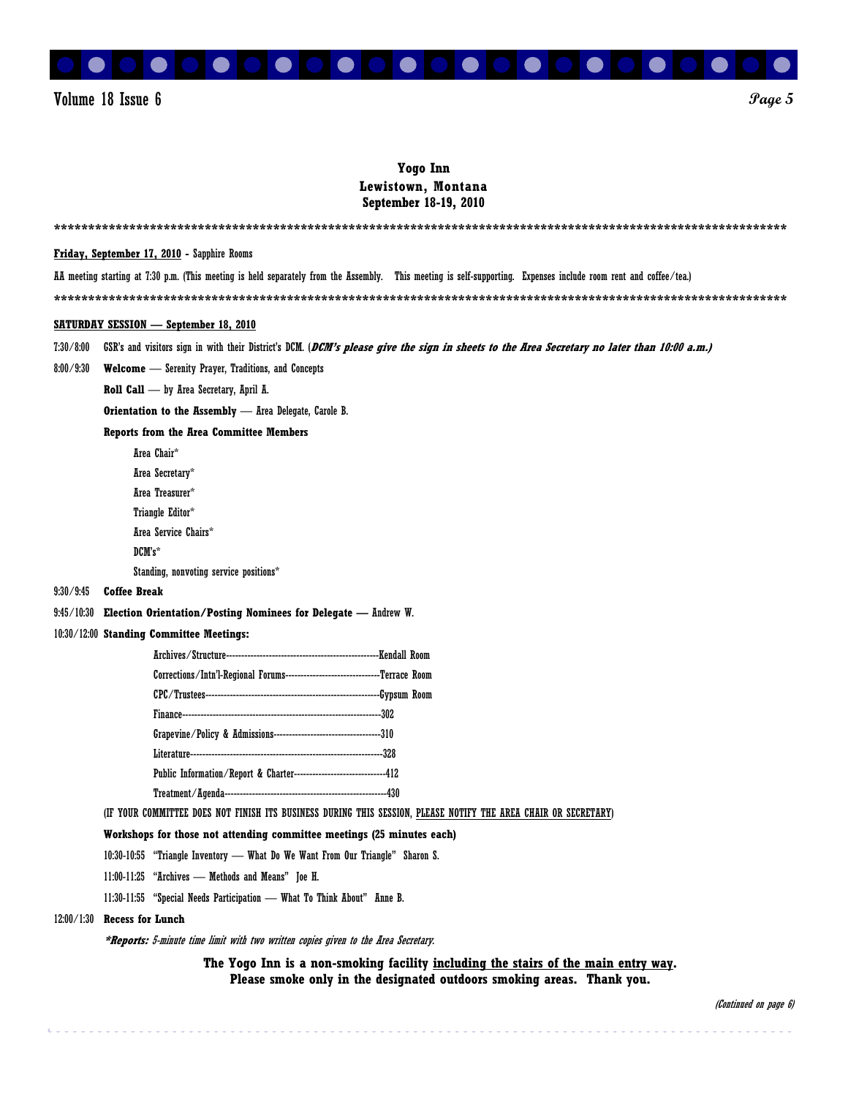

#### **Yogo Inn Lewistown, Montana September 18-19, 2010**

|            | <b>Friday, September 17, 2010</b> - Sapphire Rooms                                                                                                                |
|------------|-------------------------------------------------------------------------------------------------------------------------------------------------------------------|
|            | AA meeting starting at 7:30 p.m. (This meeting is held separately from the Assembly. This meeting is self-supporting. Expenses include room rent and coffee/tea.) |
|            |                                                                                                                                                                   |
|            | <b>SATURDAY SESSION — September 18, 2010</b>                                                                                                                      |
| 7:30/8:00  | GSR's and visitors sign in with their District's DCM. (DCM's please give the sign in sheets to the Area Secretary no later than 10:00 a.m.)                       |
| 8:00/9:30  | <b>Welcome</b> - Serenity Prayer, Traditions, and Concepts                                                                                                        |
|            | Roll Call - by Area Secretary, April A.                                                                                                                           |
|            | Orientation to the Assembly - Area Delegate, Carole B.                                                                                                            |
|            | <b>Reports from the Area Committee Members</b>                                                                                                                    |
|            | Area Chair*                                                                                                                                                       |
|            | Area Secretary*                                                                                                                                                   |
|            | Area Treasurer*                                                                                                                                                   |
|            | Triangle Editor*                                                                                                                                                  |
|            | Area Service Chairs*                                                                                                                                              |
|            | DCM's*                                                                                                                                                            |
| 9:30/9:45  | Standing, nonvoting service positions*<br><b>Coffee Break</b>                                                                                                     |
|            | Election Orientation/Posting Nominees for Delegate - Andrew W.                                                                                                    |
| 9:45/10:30 | 10:30/12:00 Standing Committee Meetings:                                                                                                                          |
|            |                                                                                                                                                                   |
|            | Corrections/Intn'l-Regional Forums---------------------------------Terrace Room                                                                                   |
|            |                                                                                                                                                                   |
|            |                                                                                                                                                                   |
|            |                                                                                                                                                                   |
|            |                                                                                                                                                                   |
|            | Public Information/Report & Charter------------------------------412                                                                                              |
|            |                                                                                                                                                                   |
|            | (IF YOUR COMMITTEE DOES NOT FINISH ITS BUSINESS DURING THIS SESSION, PLEASE NOTIFY THE AREA CHAIR OR SECRETARY)                                                   |
|            | Workshops for those not attending committee meetings (25 minutes each)                                                                                            |
|            | 10:30-10:55 "Triangle Inventory - What Do We Want From Our Triangle" Sharon S.                                                                                    |
|            | 11:00-11:25 "Archives - Methods and Means" Joe H.                                                                                                                 |
|            | 11:30-11:55 "Special Needs Participation - What To Think About" Anne B.                                                                                           |
| 12:00/1:30 | <b>Recess for Lunch</b>                                                                                                                                           |
|            | *Reports: 5-minute time limit with two written copies given to the Area Secretary.                                                                                |
|            | The Yogo Inn is a non-smoking facility <u>including the stairs of the main entry way</u> .                                                                        |
|            | Please smoke only in the designated outdoors smoking areas. Thank you.                                                                                            |

o o c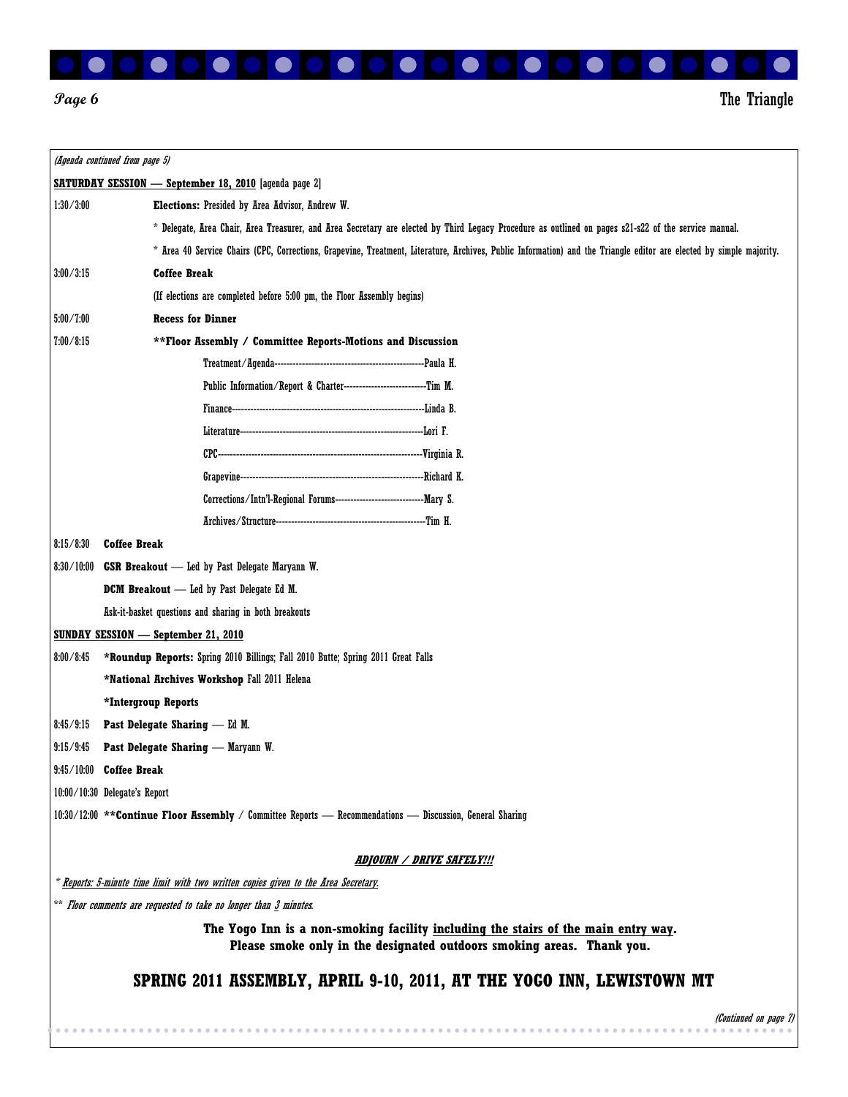

*Page 6* The Triangle

|                                                                                     | (Agenda continued from page 5)                                                                                                                                      |  |  |  |  |
|-------------------------------------------------------------------------------------|---------------------------------------------------------------------------------------------------------------------------------------------------------------------|--|--|--|--|
|                                                                                     | <b>SATURDAY SESSION — September 18, 2010</b> [agenda page 2]                                                                                                        |  |  |  |  |
| 1:30/3:00                                                                           | <b>Elections:</b> Presided by Area Advisor, Andrew W.                                                                                                               |  |  |  |  |
|                                                                                     | * Delegate, Area Chair, Area Treasurer, and Area Secretary are elected by Third Legacy Procedure as outlined on pages s21-s22 of the service manual.                |  |  |  |  |
|                                                                                     | * Area 40 Service Chairs (CPC, Corrections, Grapevine, Treatment, Literature, Archives, Public Information) and the Triangle editor are elected by simple majority. |  |  |  |  |
| 3:00/3:15                                                                           | <b>Coffee Break</b>                                                                                                                                                 |  |  |  |  |
|                                                                                     | (If elections are completed before 5:00 pm, the Floor Assembly begins)                                                                                              |  |  |  |  |
| 5:00 / 7:00                                                                         | <b>Recess for Dinner</b>                                                                                                                                            |  |  |  |  |
| 7:00/8:15                                                                           | ** Floor Assembly / Committee Reports-Motions and Discussion                                                                                                        |  |  |  |  |
|                                                                                     |                                                                                                                                                                     |  |  |  |  |
|                                                                                     | Public Information/Report & Charter----------------------------Tim M.                                                                                               |  |  |  |  |
|                                                                                     |                                                                                                                                                                     |  |  |  |  |
|                                                                                     |                                                                                                                                                                     |  |  |  |  |
|                                                                                     |                                                                                                                                                                     |  |  |  |  |
|                                                                                     |                                                                                                                                                                     |  |  |  |  |
|                                                                                     |                                                                                                                                                                     |  |  |  |  |
|                                                                                     |                                                                                                                                                                     |  |  |  |  |
| 8:15/8:30                                                                           | <b>Coffee Break</b>                                                                                                                                                 |  |  |  |  |
| 8:30/10:00                                                                          | <b>GSR Breakout</b> - Led by Past Delegate Maryann W.                                                                                                               |  |  |  |  |
|                                                                                     | <b>DCM Breakout</b> - Led by Past Delegate Ed M.                                                                                                                    |  |  |  |  |
|                                                                                     | Ask-it-basket questions and sharing in both breakouts                                                                                                               |  |  |  |  |
|                                                                                     | <b>SUNDAY SESSION — September 21, 2010</b>                                                                                                                          |  |  |  |  |
| 8:00/8:45                                                                           | *Roundup Reports: Spring 2010 Billings; Fall 2010 Butte; Spring 2011 Great Falls                                                                                    |  |  |  |  |
|                                                                                     | *National Archives Workshop Fall 2011 Helena                                                                                                                        |  |  |  |  |
|                                                                                     | *Intergroup Reports                                                                                                                                                 |  |  |  |  |
| 8:45/9:15                                                                           | <b>Past Delegate Sharing — Ed M.</b>                                                                                                                                |  |  |  |  |
| 9:15/9:45                                                                           | Past Delegate Sharing - Maryann W.                                                                                                                                  |  |  |  |  |
|                                                                                     | 9:45/10:00 Coffee Break                                                                                                                                             |  |  |  |  |
|                                                                                     | $10:00/10:30$ Delegate's Report                                                                                                                                     |  |  |  |  |
|                                                                                     | 10:30/12:00 ** Continue Floor Assembly / Committee Reports - Recommendations - Discussion, General Sharing                                                          |  |  |  |  |
|                                                                                     |                                                                                                                                                                     |  |  |  |  |
|                                                                                     | ADJOURN / DRIVE SAFELY!!!                                                                                                                                           |  |  |  |  |
| * Reports: 5-minute time limit with two written copies given to the Area Secretary. |                                                                                                                                                                     |  |  |  |  |
|                                                                                     | ** Floor comments are requested to take no longer than 3 minutes.                                                                                                   |  |  |  |  |
|                                                                                     | The Yogo Inn is a non-smoking facility including the stairs of the main entry way.<br>Please smoke only in the designated outdoors smoking areas. Thank you.        |  |  |  |  |
|                                                                                     | SPRING 2011 ASSEMBLY, APRIL 9-10, 2011, AT THE YOGO INN, LEWISTOWN MT                                                                                               |  |  |  |  |
|                                                                                     | (Continued on page 7)                                                                                                                                               |  |  |  |  |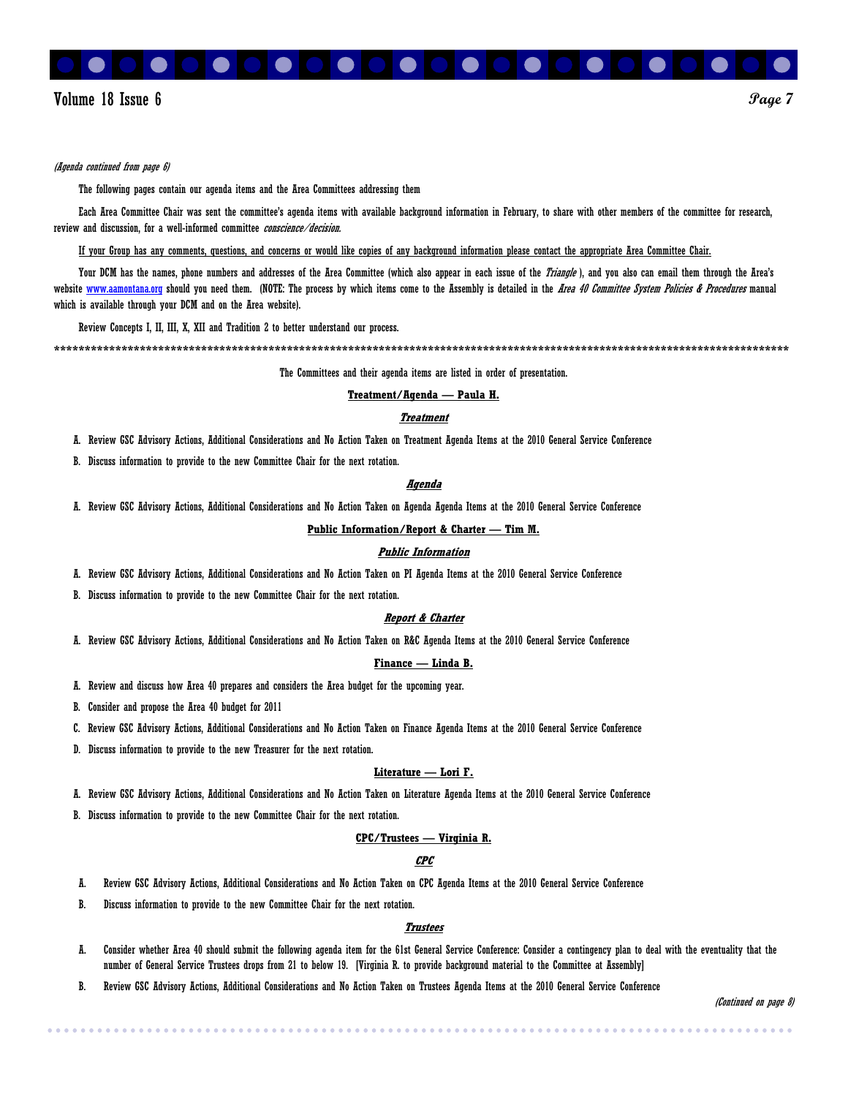

#### (Agenda continued from page 6)

The following pages contain our agenda items and the Area Committees addressing them

Each Area Committee Chair was sent the committee's agenda items with available background information in February, to share with other members of the committee for research, review and discussion, for a well-informed committee *conscience/decision*.

If your Group has any comments, questions, and concerns or would like copies of any background information please contact the appropriate Area Committee Chair.

Your DCM has the names, phone numbers and addresses of the Area Committee (which also appear in each issue of the Triangle), and you also can email them through the Area's website www.aamontana.org should you need them. (NOTE: The process by which items come to the Assembly is detailed in the Area 40 Committee System Policies & Procedures manual which is available through your DCM and on the Area website).

Review Concepts I, II, III, X, XII and Tradition 2 to better understand our process.

**\*\*\*\*\*\*\*\*\*\*\*\*\*\*\*\*\*\*\*\*\*\*\*\*\*\*\*\*\*\*\*\*\*\*\*\*\*\*\*\*\*\*\*\*\*\*\*\*\*\*\*\*\*\*\*\*\*\*\*\*\*\*\*\*\*\*\*\*\*\*\*\*\*\*\*\*\*\*\*\*\*\*\*\*\*\*\*\*\*\*\*\*\*\*\*\*\*\*\*\*\*\*\*\*\*\*\*\*\*\*\*\*\*\*\*\*\*\*\*\*** 

The Committees and their agenda items are listed in order of presentation.

#### **Treatment/Agenda — Paula H.**

#### **Treatment**

A. Review GSC Advisory Actions, Additional Considerations and No Action Taken on Treatment Agenda Items at the 2010 General Service Conference

B. Discuss information to provide to the new Committee Chair for the next rotation.

#### **Agenda**

A. Review GSC Advisory Actions, Additional Considerations and No Action Taken on Agenda Agenda Items at the 2010 General Service Conference

**Public Information/Report & Charter — Tim M.**

#### **Public Information**

A. Review GSC Advisory Actions, Additional Considerations and No Action Taken on PI Agenda Items at the 2010 General Service Conference

B. Discuss information to provide to the new Committee Chair for the next rotation.

#### **Report & Charter**

A. Review GSC Advisory Actions, Additional Considerations and No Action Taken on R&C Agenda Items at the 2010 General Service Conference

#### **Finance — Linda B.**

- A. Review and discuss how Area 40 prepares and considers the Area budget for the upcoming year.
- B. Consider and propose the Area 40 budget for 2011
- C. Review GSC Advisory Actions, Additional Considerations and No Action Taken on Finance Agenda Items at the 2010 General Service Conference
- D. Discuss information to provide to the new Treasurer for the next rotation.

#### **Literature — Lori F.**

- A. Review GSC Advisory Actions, Additional Considerations and No Action Taken on Literature Agenda Items at the 2010 General Service Conference
- B. Discuss information to provide to the new Committee Chair for the next rotation.

#### **CPC/Trustees — Virginia R.**

#### **CPC**

- A. Review GSC Advisory Actions, Additional Considerations and No Action Taken on CPC Agenda Items at the 2010 General Service Conference
- B. Discuss information to provide to the new Committee Chair for the next rotation.

#### **Trustees**

- A. Consider whether Area 40 should submit the following agenda item for the 61st General Service Conference: Consider a contingency plan to deal with the eventuality that the number of General Service Trustees drops from 21 to below 19. [Virginia R. to provide background material to the Committee at Assembly]
- B. Review GSC Advisory Actions, Additional Considerations and No Action Taken on Trustees Agenda Items at the 2010 General Service Conference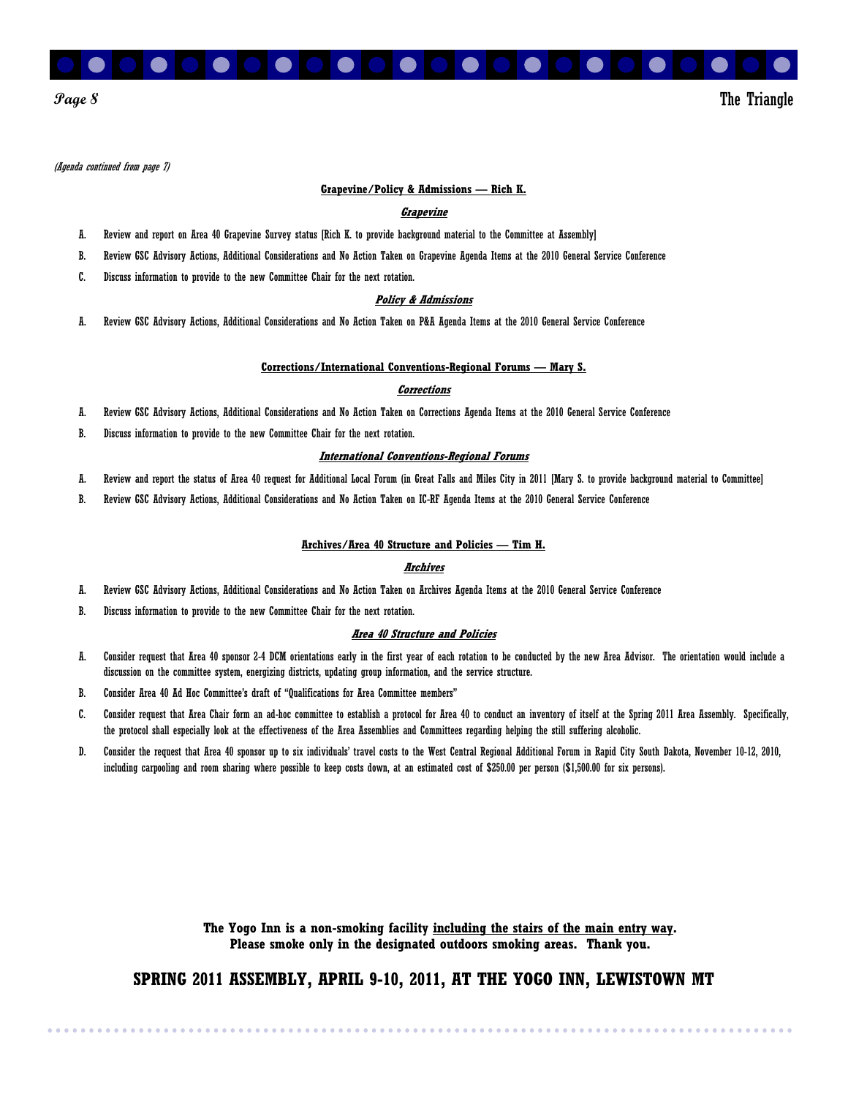

#### **Page 8** The Triangle

(Agenda continued from page 7)

#### **Grapevine/Policy & Admissions — Rich K.**

#### **Grapevine**

- A. Review and report on Area 40 Grapevine Survey status [Rich K. to provide background material to the Committee at Assembly]
- B. Review GSC Advisory Actions, Additional Considerations and No Action Taken on Grapevine Agenda Items at the 2010 General Service Conference
- C. Discuss information to provide to the new Committee Chair for the next rotation.

#### **Policy & Admissions**

A. Review GSC Advisory Actions, Additional Considerations and No Action Taken on P&A Agenda Items at the 2010 General Service Conference

#### **Corrections/International Conventions-Regional Forums — Mary S.**

#### **Corrections**

- A. Review GSC Advisory Actions, Additional Considerations and No Action Taken on Corrections Agenda Items at the 2010 General Service Conference
- B. Discuss information to provide to the new Committee Chair for the next rotation.

#### **International Conventions-Regional Forums**

- A. Review and report the status of Area 40 request for Additional Local Forum (in Great Falls and Miles City in 2011 [Mary S. to provide background material to Committee]
- B. Review GSC Advisory Actions, Additional Considerations and No Action Taken on IC-RF Agenda Items at the 2010 General Service Conference

#### **Archives/Area 40 Structure and Policies — Tim H.**

#### **Archives**

- A. Review GSC Advisory Actions, Additional Considerations and No Action Taken on Archives Agenda Items at the 2010 General Service Conference
- B. Discuss information to provide to the new Committee Chair for the next rotation.

#### **Area 40 Structure and Policies**

- A. Consider request that Area 40 sponsor 2-4 DCM orientations early in the first year of each rotation to be conducted by the new Area Advisor. The orientation would include a discussion on the committee system, energizing districts, updating group information, and the service structure.
- B. Consider Area 40 Ad Hoc Committee's draft of "Qualifications for Area Committee members"
- C. Consider request that Area Chair form an ad-hoc committee to establish a protocol for Area 40 to conduct an inventory of itself at the Spring 2011 Area Assembly. Specifically, the protocol shall especially look at the effectiveness of the Area Assemblies and Committees regarding helping the still suffering alcoholic.
- D. Consider the request that Area 40 sponsor up to six individuals' travel costs to the West Central Regional Additional Forum in Rapid City South Dakota, November 10-12, 2010, including carpooling and room sharing where possible to keep costs down, at an estimated cost of \$250.00 per person (\$1,500.00 for six persons).

**The Yogo Inn is a non-smoking facility including the stairs of the main entry way. Please smoke only in the designated outdoors smoking areas. Thank you.** 

#### **SPRING 2011 ASSEMBLY, APRIL 9-10, 2011, AT THE YOGO INN, LEWISTOWN MT**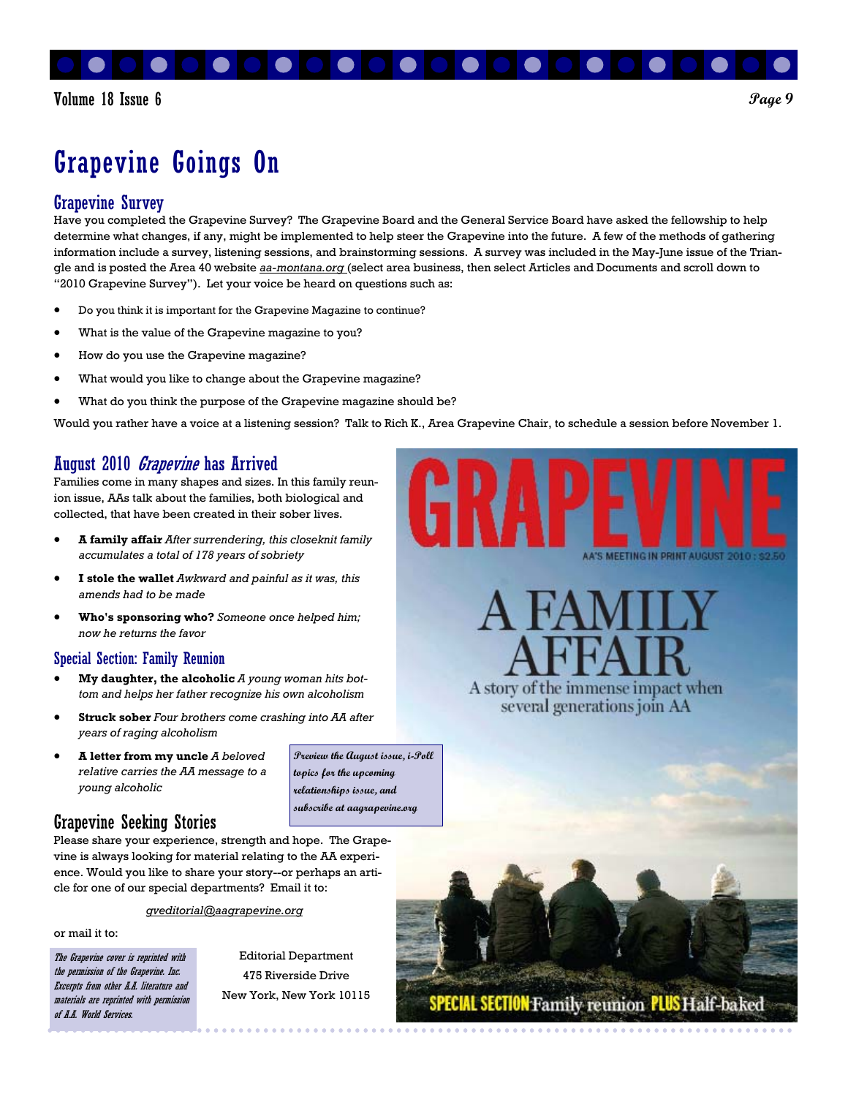

# Grapevine Goings On

### Grapevine Survey

Have you completed the Grapevine Survey? The Grapevine Board and the General Service Board have asked the fellowship to help determine what changes, if any, might be implemented to help steer the Grapevine into the future. A few of the methods of gathering information include a survey, listening sessions, and brainstorming sessions. A survey was included in the May-June issue of the Triangle and is posted the Area 40 website *aa-montana.org* (select area business, then select Articles and Documents and scroll down to "2010 Grapevine Survey"). Let your voice be heard on questions such as:

- Do you think it is important for the Grapevine Magazine to continue?
- What is the value of the Grapevine magazine to you?
- How do you use the Grapevine magazine?
- What would you like to change about the Grapevine magazine?
- What do you think the purpose of the Grapevine magazine should be?

Would you rather have a voice at a listening session? Talk to Rich K., Area Grapevine Chair, to schedule a session before November 1.

### August 2010 *Grapevine* has Arrived

Families come in many shapes and sizes. In this family reunion issue, AAs talk about the families, both biological and collected, that have been created in their sober lives.

- **A family affair** *After surrendering, this closeknit family accumulates a total of 178 years of sobriety*
- **I stole the wallet** *Awkward and painful as it was, this amends had to be made*
- **Who's sponsoring who?** *Someone once helped him; now he returns the favor*

#### Special Section: Family Reunion

- **My daughter, the alcoholic** *A young woman hits bottom and helps her father recognize his own alcoholism*
- **Struck sober** *Four brothers come crashing into AA after years of raging alcoholism*
- **A letter from my uncle** *A beloved relative carries the AA message to a young alcoholic*

**Preview the August issue, i-Poll topics for the upcoming relationships issue, and subscribe at aagrapevine.org** 

A story of the immense impact when several generations join AA

**MEETING IN DRINT AUGUST** 



Please share your experience, strength and hope. The Grapevine is always looking for material relating to the AA experience. Would you like to share your story--or perhaps an article for one of our special departments? Email it to:

*gveditorial@aagrapevine.org* 

or mail it to:

The Grapevine cover is reprinted with the permission of the Grapevine. Inc. Excerpts from other A.A. literature and materials are reprinted with permission of A.A. World Services.

Editorial Department 475 Riverside Drive New York, New York 10115

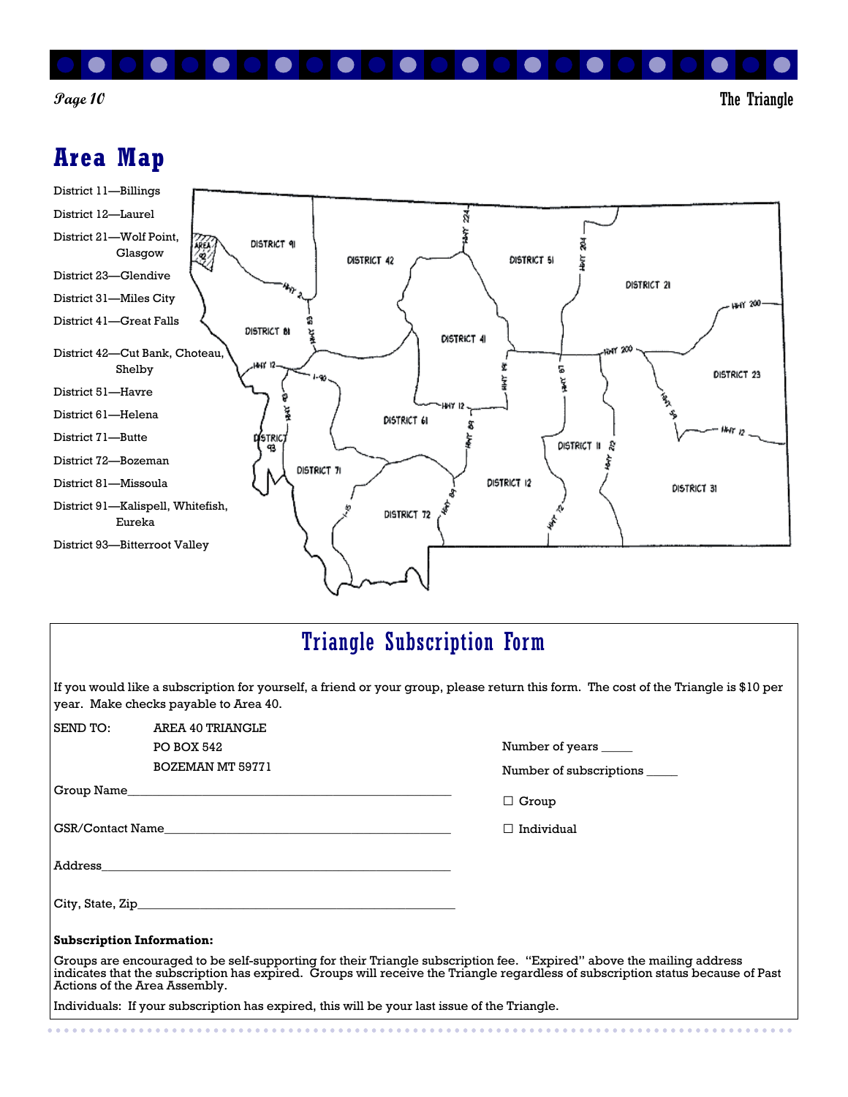

**Page 10** The Triangle

### **Area Map**

. . . . . . . .



### Triangle Subscription Form

If you would like a subscription for yourself, a friend or your group, please return this form. The cost of the Triangle is \$10 per year. Make checks payable to Area 40.

| SEND TO:                         | AREA 40 TRIANGLE                                                                                                     |                                                                                                                                 |
|----------------------------------|----------------------------------------------------------------------------------------------------------------------|---------------------------------------------------------------------------------------------------------------------------------|
|                                  | PO BOX 542                                                                                                           | Number of years ______                                                                                                          |
|                                  | BOZEMAN MT 59771                                                                                                     | Number of subscriptions                                                                                                         |
|                                  |                                                                                                                      | $\Box$ Group                                                                                                                    |
|                                  |                                                                                                                      | Individual<br>$\mathbf{1}$                                                                                                      |
|                                  |                                                                                                                      |                                                                                                                                 |
|                                  |                                                                                                                      |                                                                                                                                 |
| <b>Subscription Information:</b> |                                                                                                                      |                                                                                                                                 |
| Actions of the Area Assembly.    | Groups are encouraged to be self-supporting for their Triangle subscription fee. "Expired" above the mailing address | indicates that the subscription has expired. Groups will receive the Triangle regardless of subscription status because of Past |
|                                  | Individuals: If your subscription has expired, this will be your last issue of the Triangle.                         |                                                                                                                                 |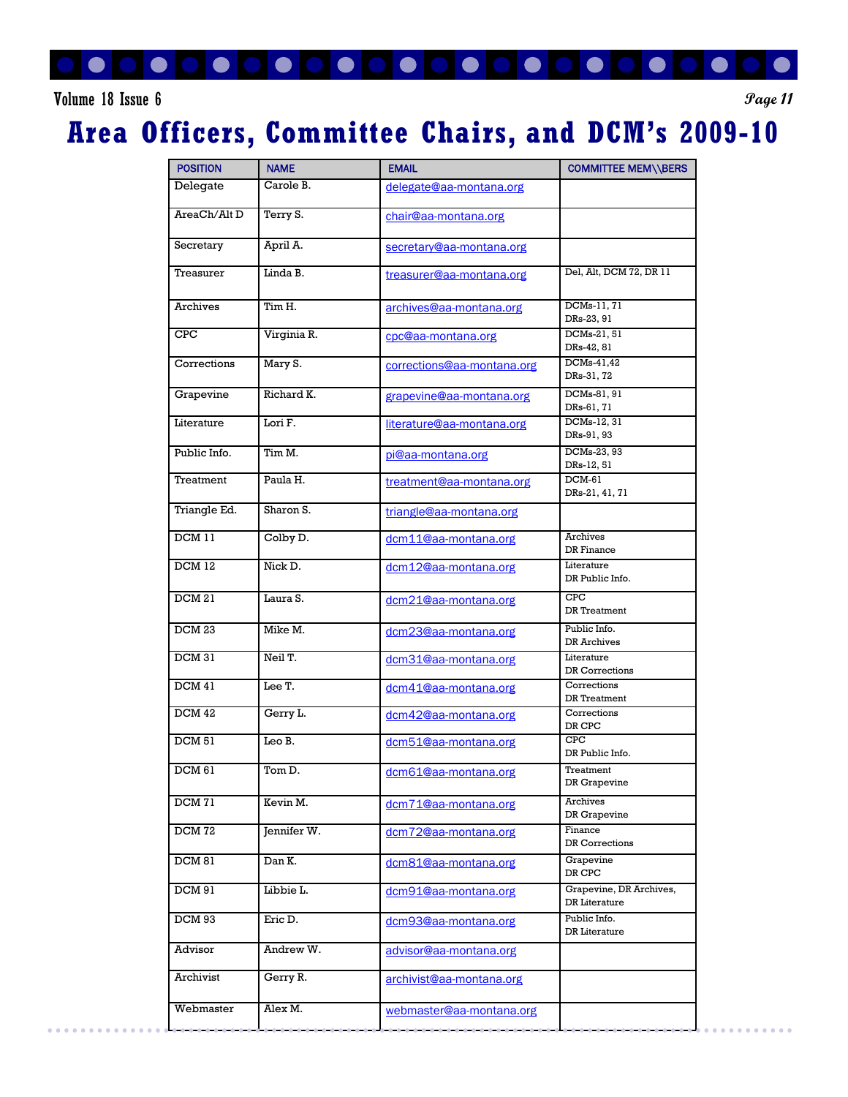

### Volume 18 Issue 6 **Page 11**

## **Area Officers, Committee Chairs, and DCM's 2009-10**

| <b>POSITION</b>   | <b>NAME</b> | <b>EMAIL</b>               | <b>COMMITTEE MEM\\BERS</b>                  |
|-------------------|-------------|----------------------------|---------------------------------------------|
| Delegate          | Carole B.   | delegate@aa-montana.org    |                                             |
| AreaCh/Alt D      | Terry S.    | chair@aa-montana.org       |                                             |
| Secretary         | April A.    | secretary@aa-montana.org   |                                             |
| Treasurer         | Linda B.    | treasurer@aa-montana.org   | Del, Alt, DCM 72, DR 11                     |
| Archives          | Tim H.      | archives@aa-montana.org    | DCMs-11, 71<br>DRs-23, 91                   |
| <b>CPC</b>        | Virginia R. | cpc@aa-montana.org         | DCMs-21, 51<br>DRs-42, 81                   |
| Corrections       | Mary S.     | corrections@aa-montana.org | DCMs-41,42<br>DRs-31, 72                    |
| Grapevine         | Richard K.  | grapevine@aa-montana.org   | DCMs-81, 91<br>DRs-61, 71                   |
| Literature        | Lori F.     | literature@aa-montana.org  | DCMs-12, 31<br>DRs-91, 93                   |
| Public Info.      | Tim M.      | pi@aa-montana.org          | DCMs-23, 93<br>DRs-12, 51                   |
| Treatment         | Paula H.    | treatment@aa-montana.org   | DCM-61<br>DRs-21, 41, 71                    |
| Triangle Ed.      | Sharon S.   | triangle@aa-montana.org    |                                             |
| DCM 11            | Colby D.    | dcm11@aa-montana.org       | Archives<br>DR Finance                      |
| DCM 12            | Nick D.     | dcm12@aa-montana.org       | Literature<br>DR Public Info.               |
| DCM 21            | Laura S.    | dcm21@aa-montana.org       | CPC<br>DR Treatment                         |
| DCM 23            | Mike M.     | dcm23@aa-montana.org       | Public Info.<br>DR Archives                 |
| DCM 31            | Neil T.     | dcm31@aa-montana.org       | Literature<br>DR Corrections                |
| DCM 41            | Lee T.      | dcm41@aa-montana.org       | Corrections<br>DR Treatment                 |
| DCM 42            | Gerry L.    | dcm42@aa-montana.org       | Corrections<br>$\mathtt{DR}$ $\mathtt{CPC}$ |
| <b>DCM 51</b>     | Leo B.      | dcm51@aa-montana.org       | <b>CPC</b><br>DR Public Info.               |
| DCM 61            | Tom D.      | dcm61@aa-montana.org       | Treatment<br>DR Grapevine                   |
| DCM <sub>71</sub> | Kevin M.    | dcm71@aa-montana.org       | <b>Archives</b><br>DR Grapevine             |
| DCM <sub>72</sub> | Jennifer W. | dcm72@aa-montana.org       | Finance<br>DR Corrections                   |
| DCM 81            | Dan K.      | dcm81@aa-montana.org       | Grapevine<br>$\mathtt{DR}$ $\mathtt{CPC}$   |
| DCM 91            | Libbie L.   | dcm91@aa-montana.org       | Grapevine, DR Archives,<br>DR Literature    |
| DCM 93            | Eric D.     | dcm93@aa-montana.org       | Public Info.<br>DR Literature               |
| Advisor           | Andrew W.   | advisor@aa-montana.org     |                                             |
| Archivist         | Gerry R.    | archivist@aa-montana.org   |                                             |
| Webmaster         | Alex M.     | webmaster@aa-montana.org   |                                             |